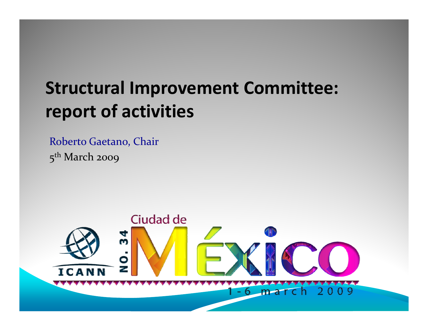### **Structural Improvement Committee: report of activities**

Roberto Gaetano, Chair 5<sup>th</sup> March 2009

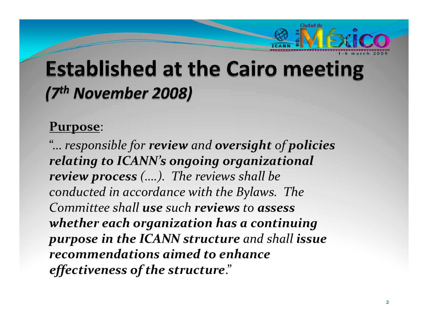

### **Established at the Cairo meeting** (7th November 2008)

#### **Purpose**:

"… *responsible for review and oversight of policies relating to ICANN's ongoing organizational review process (….). The reviews shall be conducted in accordance with the Bylaws. The Committee shall use such reviews to assess whether each organization has <sup>a</sup> continuing purpose in the ICANN structure and shall issue recommendations aimed to enhance effectiveness of the structure*."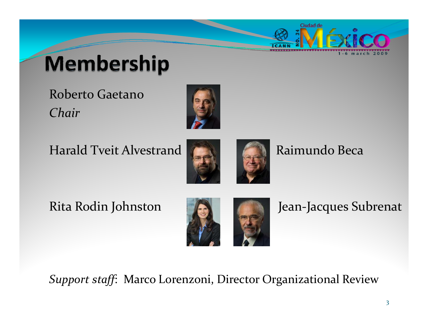

# **Membership**

Roberto Gaetano *Chair*



Harald Tveit Alvestrand **Raimundo Beca** 



#### Rita Rodin



Jean-Jacques Subrenat

*Support staff*: Marco Lorenzoni, Director Organizational Review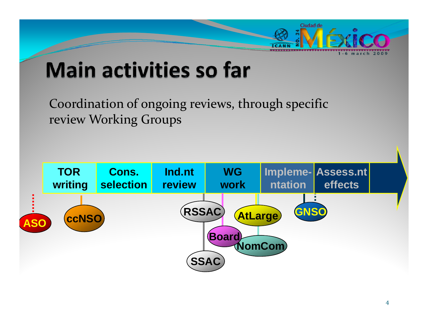

## **Main activities so far**

Coordination of ongoing reviews, through specific review Working Groups

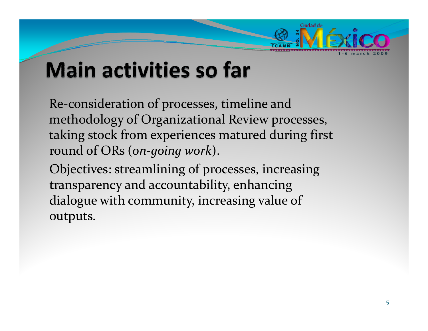

## **Main activities so far**

Re‐consideration of processes, timeline and methodology of Organizational Review processes, taking stock from experiences matured during first round of ORs (*on‐going work*).

Objectives: streamlining of processes, increasing transparency and accountability, enhancing dialogue with community, increasing value of outputs.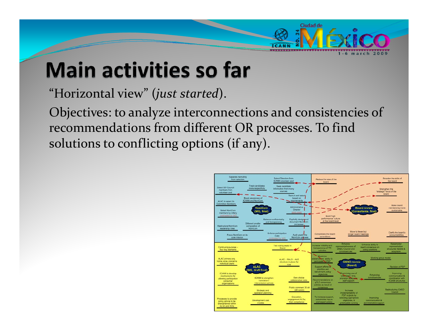

## **Main activities so far**

"Horizontal view" (*just started*).

Objectives: to analyze interconnections and consistencies of recommendations from different OR processes. To find solutions to conflicting options (if any).